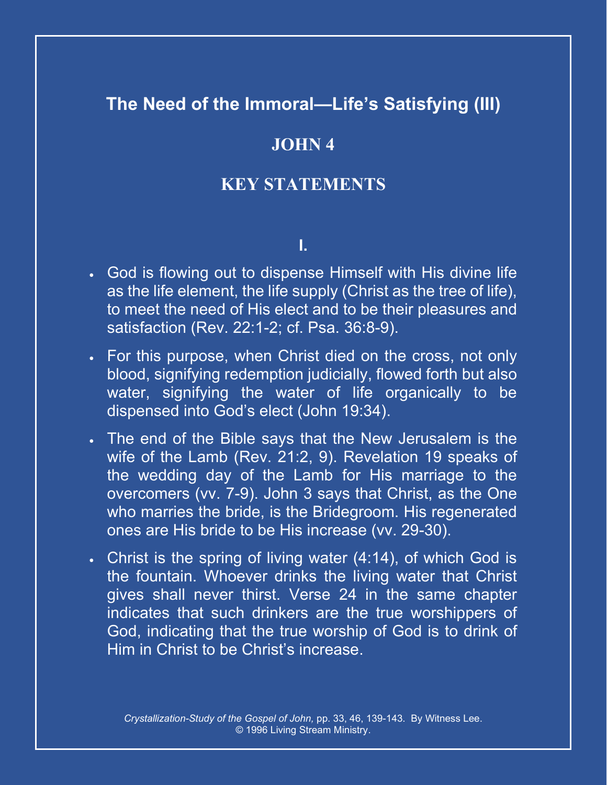## **The Need of the Immoral—Life's Satisfying (III)**

## **JOHN 4**

## **KEY STATEMENTS**

## **I.**

- God is flowing out to dispense Himself with His divine life as the life element, the life supply (Christ as the tree of life), to meet the need of His elect and to be their pleasures and satisfaction (Rev. 22:1-2; cf. Psa. 36:8-9).
- For this purpose, when Christ died on the cross, not only blood, signifying redemption judicially, flowed forth but also water, signifying the water of life organically to be dispensed into God's elect (John 19:34).
- The end of the Bible says that the New Jerusalem is the wife of the Lamb (Rev. 21:2, 9). Revelation 19 speaks of the wedding day of the Lamb for His marriage to the overcomers (vv. 7-9). John 3 says that Christ, as the One who marries the bride, is the Bridegroom. His regenerated ones are His bride to be His increase (vv. 29-30).
- Christ is the spring of living water (4:14), of which God is the fountain. Whoever drinks the living water that Christ gives shall never thirst. Verse 24 in the same chapter indicates that such drinkers are the true worshippers of God, indicating that the true worship of God is to drink of Him in Christ to be Christ's increase.